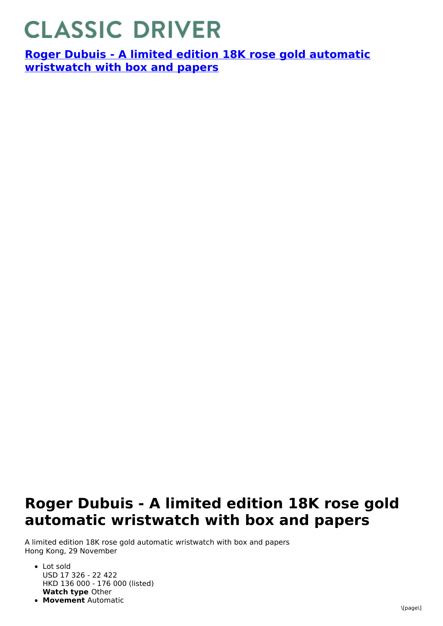## **CLASSIC DRIVER**

**Roger Dubuis - A limited edition 18K rose gold automatic [wristwatch](https://www.classicdriver.com/en/watch/roger-dubuis/266961) with box and papers**

## **Roger Dubuis - A limited edition 18K rose gold automatic wristwatch with box and papers**

A limited edition 18K rose gold automatic wristwatch with box and papers Hong Kong, 29 November

- **Watch type** Other Lot sold USD 17 326 - 22 422 HKD 136 000 - 176 000 (listed)
- **Movement** Automatic